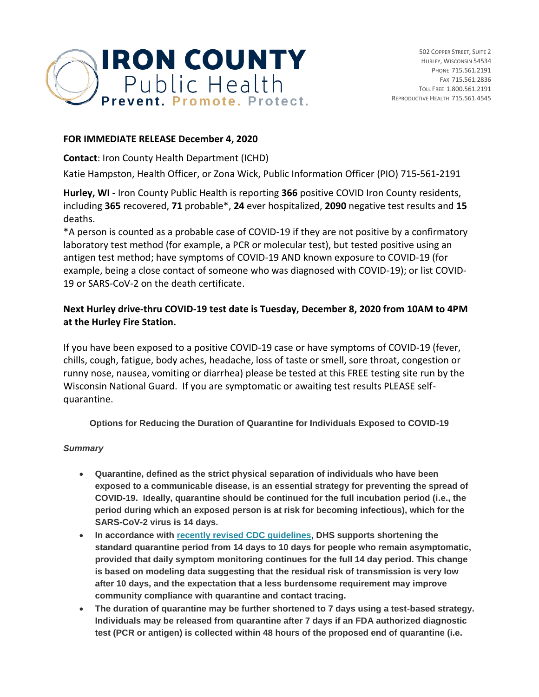

## **FOR IMMEDIATE RELEASE December 4, 2020**

**Contact**: Iron County Health Department (ICHD)

Katie Hampston, Health Officer, or Zona Wick, Public Information Officer (PIO) 715-561-2191

**Hurley, WI -** Iron County Public Health is reporting **366** positive COVID Iron County residents, including **365** recovered, **71** probable\*, **24** ever hospitalized, **2090** negative test results and **15** deaths.

\*A person is counted as a probable case of COVID-19 if they are not positive by a confirmatory laboratory test method (for example, a PCR or molecular test), but tested positive using an antigen test method; have symptoms of COVID-19 AND known exposure to COVID-19 (for example, being a close contact of someone who was diagnosed with COVID-19); or list COVID-19 or SARS-CoV-2 on the death certificate.

## **Next Hurley drive-thru COVID-19 test date is Tuesday, December 8, 2020 from 10AM to 4PM at the Hurley Fire Station.**

If you have been exposed to a positive COVID-19 case or have symptoms of COVID-19 (fever, chills, cough, fatigue, body aches, headache, loss of taste or smell, sore throat, congestion or runny nose, nausea, vomiting or diarrhea) please be tested at this FREE testing site run by the Wisconsin National Guard. If you are symptomatic or awaiting test results PLEASE selfquarantine.

**Options for Reducing the Duration of Quarantine for Individuals Exposed to COVID-19**

## *Summary*

- **Quarantine, defined as the strict physical separation of individuals who have been exposed to a communicable disease, is an essential strategy for preventing the spread of COVID-19. Ideally, quarantine should be continued for the full incubation period (i.e., the period during which an exposed person is at risk for becoming infectious), which for the SARS-CoV-2 virus is 14 days.**
- **In accordance with [recently revised CDC guidelines,](https://lnks.gd/l/eyJhbGciOiJIUzI1NiJ9.eyJidWxsZXRpbl9saW5rX2lkIjoxMDAsInVyaSI6ImJwMjpjbGljayIsImJ1bGxldGluX2lkIjoiMjAyMDEyMDQuMzE1ODExOTEiLCJ1cmwiOiJodHRwczovL3d3dy5jZGMuZ292L2Nvcm9uYXZpcnVzLzIwMTktbmNvdi9tb3JlL3NjaWVudGlmaWMtYnJpZWYtb3B0aW9ucy10by1yZWR1Y2UtcXVhcmFudGluZS5odG1sIn0.ZFLnAe8cZ5Cgwg_O6r5FV1hYcOlfaxv0smCkWL67RH4/s/670009211/br/91099483457-l) DHS supports shortening the standard quarantine period from 14 days to 10 days for people who remain asymptomatic, provided that daily symptom monitoring continues for the full 14 day period. This change is based on modeling data suggesting that the residual risk of transmission is very low after 10 days, and the expectation that a less burdensome requirement may improve community compliance with quarantine and contact tracing.**
- **The duration of quarantine may be further shortened to 7 days using a test-based strategy. Individuals may be released from quarantine after 7 days if an FDA authorized diagnostic test (PCR or antigen) is collected within 48 hours of the proposed end of quarantine (i.e.**